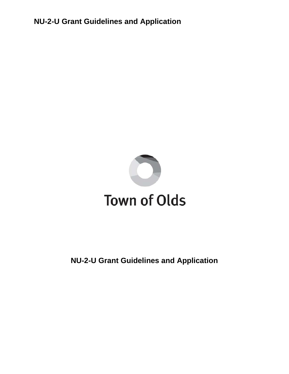

# **NU-2-U Grant Guidelines and Application**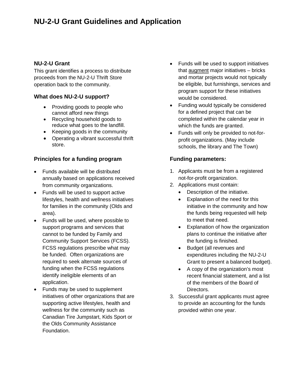#### **NU-2-U Grant**

This grant identifies a process to distribute proceeds from the NU-2-U Thrift Store operation back to the community.

#### **What does NU-2-U support?**

- Providing goods to people who cannot afford new things
- Recycling household goods to reduce what goes to the landfill.
- Keeping goods in the community
- Operating a vibrant successful thrift store.

### **Principles for a funding program**

- Funds available will be distributed annually based on applications received from community organizations.
- Funds will be used to support active lifestyles, health and wellness initiatives for families in the community (Olds and area).
- Funds will be used, where possible to support programs and services that cannot to be funded by Family and Community Support Services (FCSS). FCSS regulations prescribe what may be funded. Often organizations are required to seek alternate sources of funding when the FCSS regulations identify ineligible elements of an application.
- Funds may be used to supplement initiatives of other organizations that are supporting active lifestyles, health and wellness for the community such as Canadian Tire Jumpstart, Kids Sport or the Olds Community Assistance Foundation.
- Funds will be used to support initiatives that augment major initiatives – bricks and mortar projects would not typically be eligible, but furnishings, services and program support for these initiatives would be considered.
- Funding would typically be considered for a defined project that can be completed within the calendar year in which the funds are granted.
- Funds will only be provided to not-forprofit organizations. (May include schools, the library and The Town)

#### **Funding parameters:**

- 1. Applicants must be from a registered not-for-profit organization.
- 2. Applications must contain:
	- Description of the initiative.
	- Explanation of the need for this initiative in the community and how the funds being requested will help to meet that need.
	- Explanation of how the organization plans to continue the initiative after the funding is finished.
	- Budget (all revenues and expenditures including the NU-2-U Grant to present a balanced budget).
	- A copy of the organization's most recent financial statement, and a list of the members of the Board of Directors.
- 3. Successful grant applicants must agree to provide an accounting for the funds provided within one year.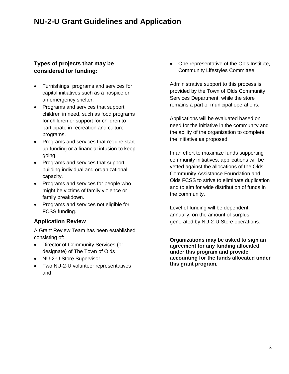### **Types of projects that may be considered for funding:**

- Furnishings, programs and services for capital initiatives such as a hospice or an emergency shelter.
- Programs and services that support children in need, such as food programs for children or support for children to participate in recreation and culture programs.
- Programs and services that require start up funding or a financial infusion to keep going.
- Programs and services that support building individual and organizational capacity.
- Programs and services for people who might be victims of family violence or family breakdown.
- Programs and services not eligible for FCSS funding.

### **Application Review**

A Grant Review Team has been established consisting of:

- Director of Community Services (or designate) of The Town of Olds
- NU-2-U Store Supervisor
- Two NU-2-U volunteer representatives and

• One representative of the Olds Institute, Community Lifestyles Committee.

Administrative support to this process is provided by the Town of Olds Community Services Department, while the store remains a part of municipal operations.

Applications will be evaluated based on need for the initiative in the community and the ability of the organization to complete the initiative as proposed.

In an effort to maximize funds supporting community initiatives, applications will be vetted against the allocations of the Olds Community Assistance Foundation and Olds FCSS to strive to eliminate duplication and to aim for wide distribution of funds in the community.

Level of funding will be dependent, annually, on the amount of surplus generated by NU-2-U Store operations.

**Organizations may be asked to sign an agreement for any funding allocated under this program and provide accounting for the funds allocated under this grant program.**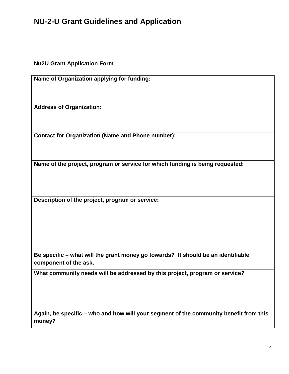**Nu2U Grant Application Form**

**Name of Organization applying for funding:**

**Address of Organization:**

**Contact for Organization (Name and Phone number):**

**Name of the project, program or service for which funding is being requested:**

**Description of the project, program or service:**

**Be specific – what will the grant money go towards? It should be an identifiable component of the ask.**

**What community needs will be addressed by this project, program or service?**

**Again, be specific – who and how will your segment of the community benefit from this money?**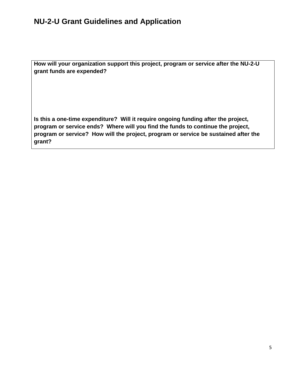**How will your organization support this project, program or service after the NU-2-U grant funds are expended?**

**Is this a one-time expenditure? Will it require ongoing funding after the project, program or service ends? Where will you find the funds to continue the project, program or service? How will the project, program or service be sustained after the grant?**